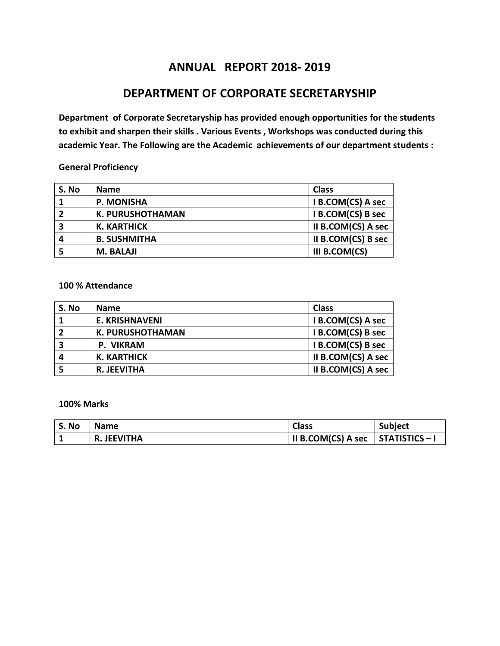# **ANNUAL REPORT 2018- 2019**

## **DEPARTMENT OF CORPORATE SECRETARYSHIP**

**Department of Corporate Secretaryship has provided enough opportunities for the students to exhibit and sharpen their skills . Various Events , Workshops was conducted during this academic Year. The Following are the Academic achievements of our department students :**

### **General Proficiency**

| S. No | <b>Name</b>             | <b>Class</b>       |
|-------|-------------------------|--------------------|
|       | <b>P. MONISHA</b>       | I B.COM(CS) A sec  |
|       | <b>K. PURUSHOTHAMAN</b> | I B.COM(CS) B sec  |
| 3     | <b>K. KARTHICK</b>      | II B.COM(CS) A sec |
| 4     | <b>B. SUSHMITHA</b>     | II B.COM(CS) B sec |
|       | <b>M. BALAJI</b>        | III B.COM(CS)      |

### **100 % Attendance**

| S. No                   | <b>Name</b>             | <b>Class</b>       |
|-------------------------|-------------------------|--------------------|
|                         | <b>E. KRISHNAVENI</b>   | I B.COM(CS) A sec  |
| $\overline{\mathbf{2}}$ | <b>K. PURUSHOTHAMAN</b> | I B.COM(CS) B sec  |
| 3                       | P. VIKRAM               | I B.COM(CS) B sec  |
| 4                       | K. KARTHICK             | II B.COM(CS) A sec |
|                         | <b>R. JEEVITHA</b>      | II B.COM(CS) A sec |

### **100% Marks**

| <b>No</b><br>э. | <b>Name</b> | <b>Class</b>       | <b>Subject</b> |
|-----------------|-------------|--------------------|----------------|
|                 | R. JEEVITHA | II B.COM(CS) A sec | STATISTICS – I |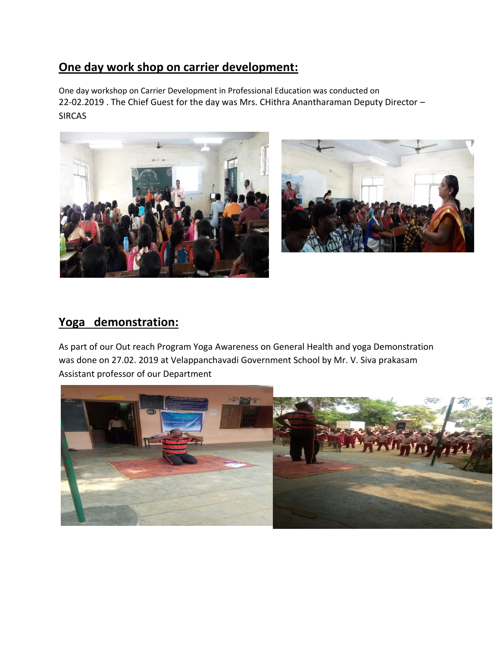# **One day work shop on carrier development:**

One day workshop on Carrier Development in Professional Education was conducted on 22-02.2019 . The Chief Guest for the day was Mrs. CHithra Anantharaman Deputy Director – SIRCAS





# **Yoga demonstration:**

As part of our Out reach Program Yoga Awareness on General Health and yoga Demonstration was done on 27.02. 2019 at Velappanchavadi Government School by Mr. V. Siva prakasam Assistant professor of our Department

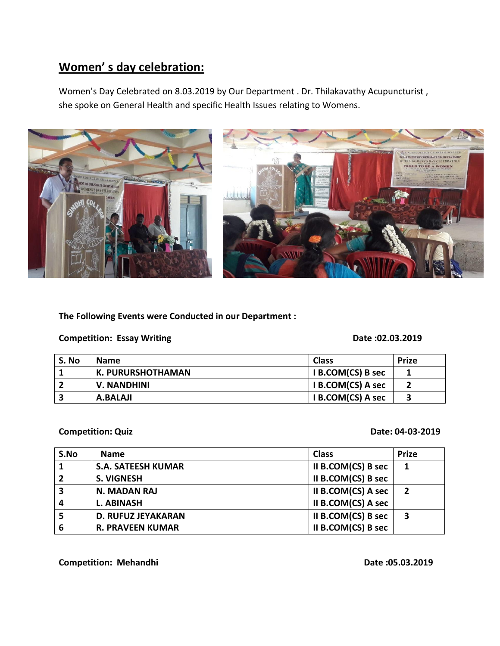# **Women' s day celebration:**

Women's Day Celebrated on 8.03.2019 by Our Department . Dr. Thilakavathy Acupuncturist , she spoke on General Health and specific Health Issues relating to Womens.



**The Following Events were Conducted in our Department :**

**Competition: Essay Writing Competition: Exsay Writing Competition: Exsay Writing Competition: Exsay Writing Competition: Exsay Mriting Competition: Exsay Mriting Competition: Exsay Mriting Competition: Exsay Mriting Compe** 

| S. No | <b>Name</b>       | <b>Class</b>      | <b>Prize</b> |
|-------|-------------------|-------------------|--------------|
|       | K. PURURSHOTHAMAN | I B.COM(CS) B sec |              |
| -2    | V. NANDHINI       | I B.COM(CS) A sec |              |
| 2     | A.BALAJI          | I B.COM(CS) A sec | 3            |

### **Competition: Quiz Competition: Quiz Competition: Quiz Competition: Quiz Competition: Quiz Competition: Quiz Competition: Quiz Competition: Quiz Competition: Quiz Competition: Quiz Competition: Quiz Competition: Quiz Compe**

| S.No                    | <b>Name</b>               | <b>Class</b>       | <b>Prize</b>   |
|-------------------------|---------------------------|--------------------|----------------|
|                         | <b>S.A. SATEESH KUMAR</b> | II B.COM(CS) B sec |                |
| $\overline{2}$          | <b>S. VIGNESH</b>         | II B.COM(CS) B sec |                |
| $\overline{\mathbf{3}}$ | <b>N. MADAN RAJ</b>       | II B.COM(CS) A sec | $\overline{2}$ |
| $\boldsymbol{4}$        | <b>L. ABINASH</b>         | II B.COM(CS) A sec |                |
| 5                       | <b>D. RUFUZ JEYAKARAN</b> | II B.COM(CS) B sec | 3              |
| 6                       | <b>R. PRAVEEN KUMAR</b>   | II B.COM(CS) B sec |                |

**Competition: Mehandhi Date :05.03.2019**